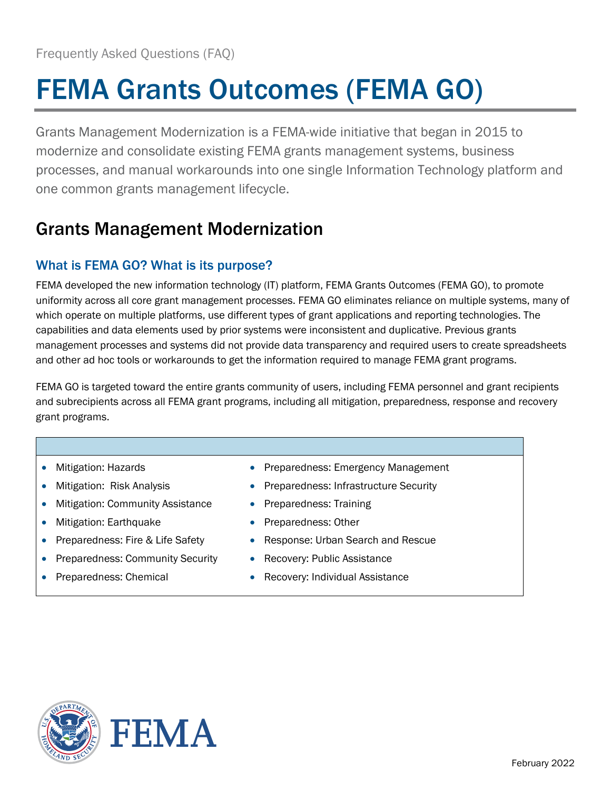# FEMA Grants Outcomes (FEMA GO)

Grants Management Modernization is a FEMA-wide initiative that began in 2015 to modernize and consolidate existing FEMA grants management systems, business processes, and manual workarounds into one single Information Technology platform and one common grants management lifecycle.

## Grants Management Modernization

### What is FEMA GO? What is its purpose?

FEMA developed the new information technology (IT) platform, FEMA Grants Outcomes (FEMA GO), to promote uniformity across all core grant management processes. FEMA GO eliminates reliance on multiple systems, many of which operate on multiple platforms, use different types of grant applications and reporting technologies. The capabilities and data elements used by prior systems were inconsistent and duplicative. Previous grants management processes and systems did not provide data transparency and required users to create spreadsheets and other ad hoc tools or workarounds to get the information required to manage FEMA grant programs.

FEMA GO is targeted toward the entire grants community of users, including FEMA personnel and grant recipients and subrecipients across all FEMA grant programs, including all mitigation, preparedness, response and recovery grant programs.

- Mitigation: Hazards
- Mitigation: Risk Analysis
- Mitigation: Community Assistance
- Mitigation: Earthquake
- Preparedness: Fire & Life Safety
- Preparedness: Community Security
- Preparedness: Chemical
- Preparedness: Emergency Management
- Preparedness: Infrastructure Security
- Preparedness: Training
- Preparedness: Other
- Response: Urban Search and Rescue
- Recovery: Public Assistance
- Recovery: Individual Assistance



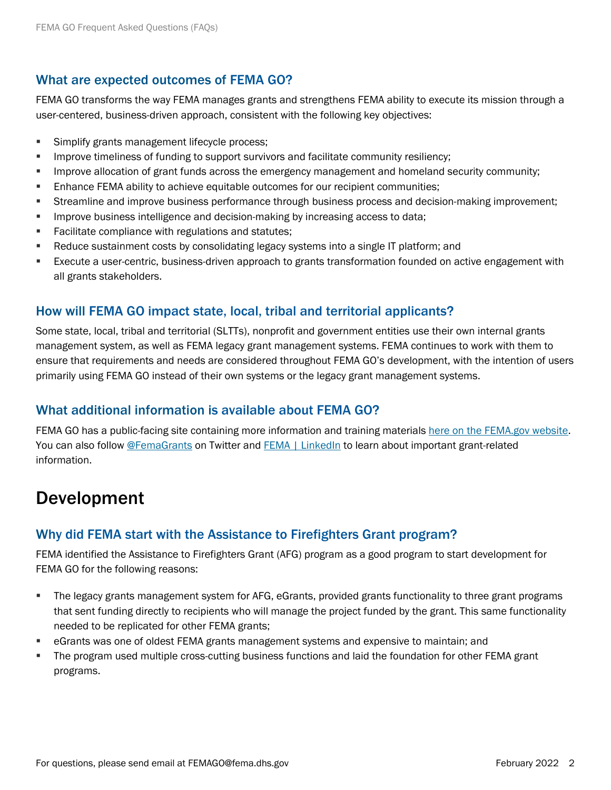### What are expected outcomes of FEMA GO?

FEMA GO transforms the way FEMA manages grants and strengthens FEMA ability to execute its mission through a user-centered, business-driven approach, consistent with the following key objectives:

- **Simplify grants management lifecycle process;**
- **IMPROVE 19 Improve timeliness of funding to support survivors and facilitate community resiliency;**
- **IMPROVE ALLOCATION OF GRANGE ACCOVERGENCY METABLE INCOCOVERGENCY IMPLY** allocation of grand in the unity:
- **Enhance FEMA ability to achieve equitable outcomes for our recipient communities;**
- Streamline and improve business performance through business process and decision-making improvement;
- **IMPROVE business intelligence and decision-making by increasing access to data;**
- **Facilitate compliance with regulations and statutes;**
- **Reduce sustainment costs by consolidating legacy systems into a single IT platform; and**
- Execute a user-centric, business-driven approach to grants transformation founded on active engagement with all grants stakeholders.

### How will FEMA GO impact state, local, tribal and territorial applicants?

Some state, local, tribal and territorial (SLTTs), nonprofit and government entities use their own internal grants management system, as well as FEMA legacy grant management systems. FEMA continues to work with them to ensure that requirements and needs are considered throughout FEMA GO's development, with the intention of users primarily using FEMA GO instead of their own systems or the legacy grant management systems.

### What additional information is available about FEMA GO?

FEMA GO has a public-facing site containing more information and training materials [here on the FEMA.gov website.](https://www.fema.gov/grants/guidance-tools/fema-go) You can also follow [@FemaGrants](https://twitter.com/FEMAGrants?ref_src=twsrc%5Egoogle%7Ctwcamp%5Eserp%7Ctwgr%5Eauthor) on Twitter and [FEMA | LinkedIn](https://www.linkedin.com/company/fema) to learn about important grant-related information.

### Development

### Why did FEMA start with the Assistance to Firefighters Grant program?

FEMA identified the Assistance to Firefighters Grant (AFG) program as a good program to start development for FEMA GO for the following reasons:

- The legacy grants management system for AFG, eGrants, provided grants functionality to three grant programs that sent funding directly to recipients who will manage the project funded by the grant. This same functionality needed to be replicated for other FEMA grants;
- eGrants was one of oldest FEMA grants management systems and expensive to maintain; and
- The program used multiple cross-cutting business functions and laid the foundation for other FEMA grant programs.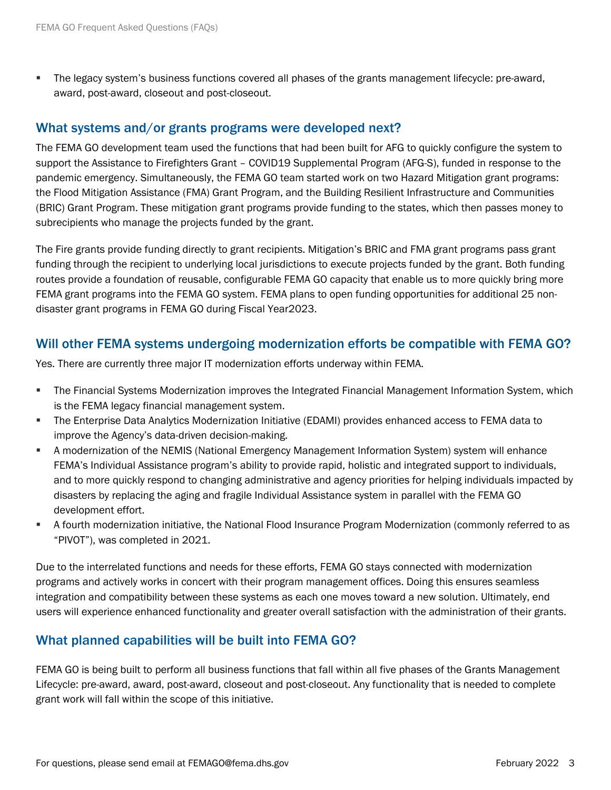The legacy system's business functions covered all phases of the grants management lifecycle: pre-award, award, post-award, closeout and post-closeout.

#### What systems and/or grants programs were developed next?

The FEMA GO development team used the functions that had been built for AFG to quickly configure the system to support the Assistance to Firefighters Grant – COVID19 Supplemental Program (AFG-S), funded in response to the pandemic emergency. Simultaneously, the FEMA GO team started work on two Hazard Mitigation grant programs: the Flood Mitigation Assistance (FMA) Grant Program, and the Building Resilient Infrastructure and Communities (BRIC) Grant Program. These mitigation grant programs provide funding to the states, which then passes money to subrecipients who manage the projects funded by the grant.

The Fire grants provide funding directly to grant recipients. Mitigation's BRIC and FMA grant programs pass grant funding through the recipient to underlying local jurisdictions to execute projects funded by the grant. Both funding routes provide a foundation of reusable, configurable FEMA GO capacity that enable us to more quickly bring more FEMA grant programs into the FEMA GO system. FEMA plans to open funding opportunities for additional 25 nondisaster grant programs in FEMA GO during Fiscal Year2023.

### Will other FEMA systems undergoing modernization efforts be compatible with FEMA GO?

Yes. There are currently three major IT modernization efforts underway within FEMA.

- The Financial Systems Modernization improves the Integrated Financial Management Information System, which is the FEMA legacy financial management system.
- The Enterprise Data Analytics Modernization Initiative (EDAMI) provides enhanced access to FEMA data to improve the Agency's data-driven decision-making.
- A modernization of the NEMIS (National Emergency Management Information System) system will enhance FEMA's Individual Assistance program's ability to provide rapid, holistic and integrated support to individuals, and to more quickly respond to changing administrative and agency priorities for helping individuals impacted by disasters by replacing the aging and fragile Individual Assistance system in parallel with the FEMA GO development effort.
- A fourth modernization initiative, the National Flood Insurance Program Modernization (commonly referred to as "PIVOT"), was completed in 2021.

Due to the interrelated functions and needs for these efforts, FEMA GO stays connected with modernization programs and actively works in concert with their program management offices. Doing this ensures seamless integration and compatibility between these systems as each one moves toward a new solution. Ultimately, end users will experience enhanced functionality and greater overall satisfaction with the administration of their grants.

### What planned capabilities will be built into FEMA GO?

FEMA GO is being built to perform all business functions that fall within all five phases of the Grants Management Lifecycle: pre-award, award, post-award, closeout and post-closeout. Any functionality that is needed to complete grant work will fall within the scope of this initiative.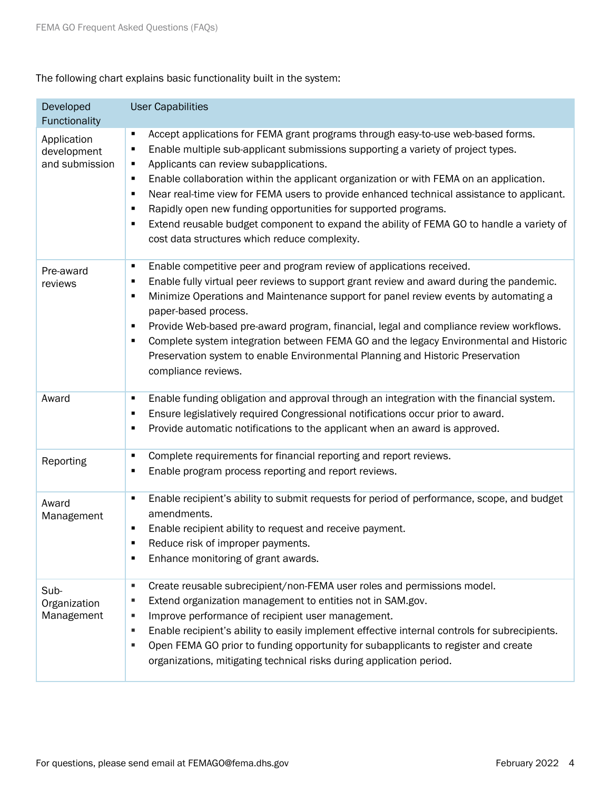The following chart explains basic functionality built in the system:

| Developed<br>Functionality                   | <b>User Capabilities</b>                                                                                                                                                                                                                                                                                                                                                                                                                                                                                                                                                                                                                                             |
|----------------------------------------------|----------------------------------------------------------------------------------------------------------------------------------------------------------------------------------------------------------------------------------------------------------------------------------------------------------------------------------------------------------------------------------------------------------------------------------------------------------------------------------------------------------------------------------------------------------------------------------------------------------------------------------------------------------------------|
| Application<br>development<br>and submission | Accept applications for FEMA grant programs through easy-to-use web-based forms.<br>п<br>Enable multiple sub-applicant submissions supporting a variety of project types.<br>п<br>Applicants can review subapplications.<br>п<br>Enable collaboration within the applicant organization or with FEMA on an application.<br>п<br>Near real-time view for FEMA users to provide enhanced technical assistance to applicant.<br>$\blacksquare$<br>Rapidly open new funding opportunities for supported programs.<br>٠<br>Extend reusable budget component to expand the ability of FEMA GO to handle a variety of<br>٠<br>cost data structures which reduce complexity. |
| Pre-award<br>reviews                         | Enable competitive peer and program review of applications received.<br>п<br>Enable fully virtual peer reviews to support grant review and award during the pandemic.<br>٠<br>Minimize Operations and Maintenance support for panel review events by automating a<br>$\blacksquare$<br>paper-based process.<br>Provide Web-based pre-award program, financial, legal and compliance review workflows.<br>٠<br>Complete system integration between FEMA GO and the legacy Environmental and Historic<br>٠<br>Preservation system to enable Environmental Planning and Historic Preservation<br>compliance reviews.                                                    |
| Award                                        | Enable funding obligation and approval through an integration with the financial system.<br>п<br>Ensure legislatively required Congressional notifications occur prior to award.<br>٠<br>Provide automatic notifications to the applicant when an award is approved.<br>٠                                                                                                                                                                                                                                                                                                                                                                                            |
| Reporting                                    | Complete requirements for financial reporting and report reviews.<br>п<br>Enable program process reporting and report reviews.<br>٠                                                                                                                                                                                                                                                                                                                                                                                                                                                                                                                                  |
| Award<br>Management                          | Enable recipient's ability to submit requests for period of performance, scope, and budget<br>$\blacksquare$<br>amendments.<br>Enable recipient ability to request and receive payment.<br>٠<br>Reduce risk of improper payments.<br>π<br>Enhance monitoring of grant awards.<br>٠                                                                                                                                                                                                                                                                                                                                                                                   |
| Sub-<br>Organization<br>Management           | Create reusable subrecipient/non-FEMA user roles and permissions model.<br>٠<br>Extend organization management to entities not in SAM.gov.<br>п<br>Improve performance of recipient user management.<br>٠<br>Enable recipient's ability to easily implement effective internal controls for subrecipients.<br>п<br>Open FEMA GO prior to funding opportunity for subapplicants to register and create<br>٠<br>organizations, mitigating technical risks during application period.                                                                                                                                                                                   |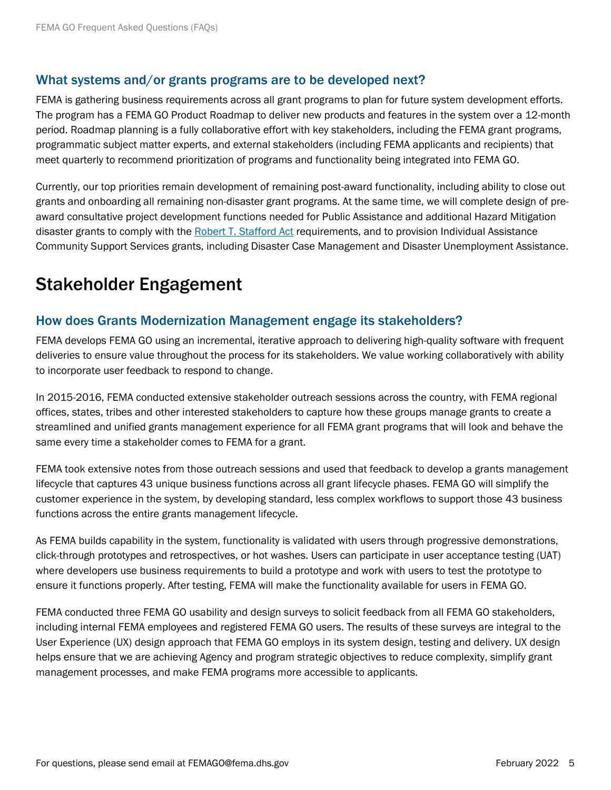### What systems and/or grants programs are to be developed next?

FEMA is gathering business requirements across all grant programs to plan for future system development efforts. The program has a FEMA GO Product Roadmap to deliver new products and features in the system over a 12-month period. Roadmap planning is a fully collaborative effort with key stakeholders, including the FEMA grant programs, programmatic subject matter experts, and external stakeholders (including FEMA applicants and recipients) that meet quarterly to recommend prioritization of programs and functionality being integrated into FEMA GO.

Currently, our top priorities remain development of remaining post-award functionality, including ability to close out grants and onboarding all remaining non-disaster grant programs. At the same time, we will complete design of preaward consultative project development functions needed for Public Assistance and additional Hazard Mitigation disaster grants to comply with the [Robert T. Stafford Act](https://www.fema.gov/disaster/stafford-act) requirements, and to provision Individual Assistance Community Support Services grants, including Disaster Case Management and Disaster Unemployment Assistance.

### Stakeholder Engagement

### How does Grants Modernization Management engage its stakeholders?

FEMA develops FEMA GO using an incremental, iterative approach to delivering high-quality software with frequent deliveries to ensure value throughout the process for its stakeholders. We value working collaboratively with ability to incorporate user feedback to respond to change.

In 2015-2016, FEMA conducted extensive stakeholder outreach sessions across the country, with FEMA regional offices, states, tribes and other interested stakeholders to capture how these groups manage grants to create a streamlined and unified grants management experience for all FEMA grant programs that will look and behave the same every time a stakeholder comes to FEMA for a grant.

FEMA took extensive notes from those outreach sessions and used that feedback to develop a grants management lifecycle that captures 43 unique business functions across all grant lifecycle phases. FEMA GO will simplify the customer experience in the system, by developing standard, less complex workflows to support those 43 business functions across the entire grants management lifecycle.

As FEMA builds capability in the system, functionality is validated with users through progressive demonstrations, click-through prototypes and retrospectives, or hot washes. Users can participate in user acceptance testing (UAT) where developers use business requirements to build a prototype and work with users to test the prototype to ensure it functions properly. After testing, FEMA will make the functionality available for users in FEMA GO.

FEMA conducted three FEMA GO usability and design surveys to solicit feedback from all FEMA GO stakeholders, including internal FEMA employees and registered FEMA GO users. The results of these surveys are integral to the User Experience (UX) design approach that FEMA GO employs in its system design, testing and delivery. UX design helps ensure that we are achieving Agency and program strategic objectives to reduce complexity, simplify grant management processes, and make FEMA programs more accessible to applicants.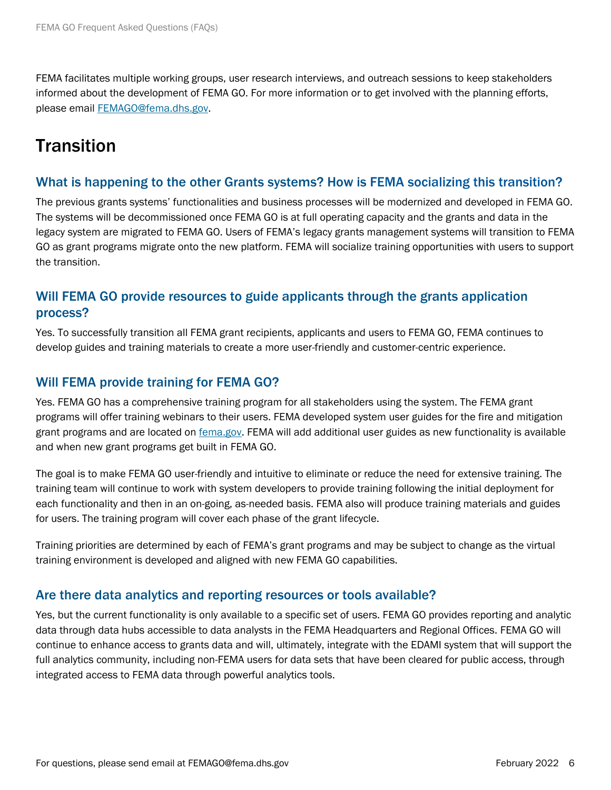FEMA facilitates multiple working groups, user research interviews, and outreach sessions to keep stakeholders informed about the development of FEMA GO. For more information or to get involved with the planning efforts, please email [FEMAGO@fema.dhs.gov.](mailto:FEMAGO@fema.dhs.gov)

### **Transition**

### What is happening to the other Grants systems? How is FEMA socializing this transition?

The previous grants systems' functionalities and business processes will be modernized and developed in FEMA GO. The systems will be decommissioned once FEMA GO is at full operating capacity and the grants and data in the legacy system are migrated to FEMA GO. Users of FEMA's legacy grants management systems will transition to FEMA GO as grant programs migrate onto the new platform. FEMA will socialize training opportunities with users to support the transition.

### Will FEMA GO provide resources to guide applicants through the grants application process?

Yes. To successfully transition all FEMA grant recipients, applicants and users to FEMA GO, FEMA continues to develop guides and training materials to create a more user-friendly and customer-centric experience.

### Will FEMA provide training for FEMA GO?

Yes. FEMA GO has a comprehensive training program for all stakeholders using the system. The FEMA grant programs will offer training webinars to their users. FEMA developed system user guides for the fire and mitigation grant programs and are located on [fema.gov.](https://www.fema.gov/grants/guidance-tools/fema-go) FEMA will add additional user guides as new functionality is available and when new grant programs get built in FEMA GO.

The goal is to make FEMA GO user-friendly and intuitive to eliminate or reduce the need for extensive training. The training team will continue to work with system developers to provide training following the initial deployment for each functionality and then in an on-going, as-needed basis. FEMA also will produce training materials and guides for users. The training program will cover each phase of the grant lifecycle.

Training priorities are determined by each of FEMA's grant programs and may be subject to change as the virtual training environment is developed and aligned with new FEMA GO capabilities.

### Are there data analytics and reporting resources or tools available?

Yes, but the current functionality is only available to a specific set of users. FEMA GO provides reporting and analytic data through data hubs accessible to data analysts in the FEMA Headquarters and Regional Offices. FEMA GO will continue to enhance access to grants data and will, ultimately, integrate with the EDAMI system that will support the full analytics community, including non-FEMA users for data sets that have been cleared for public access, through integrated access to FEMA data through powerful analytics tools.